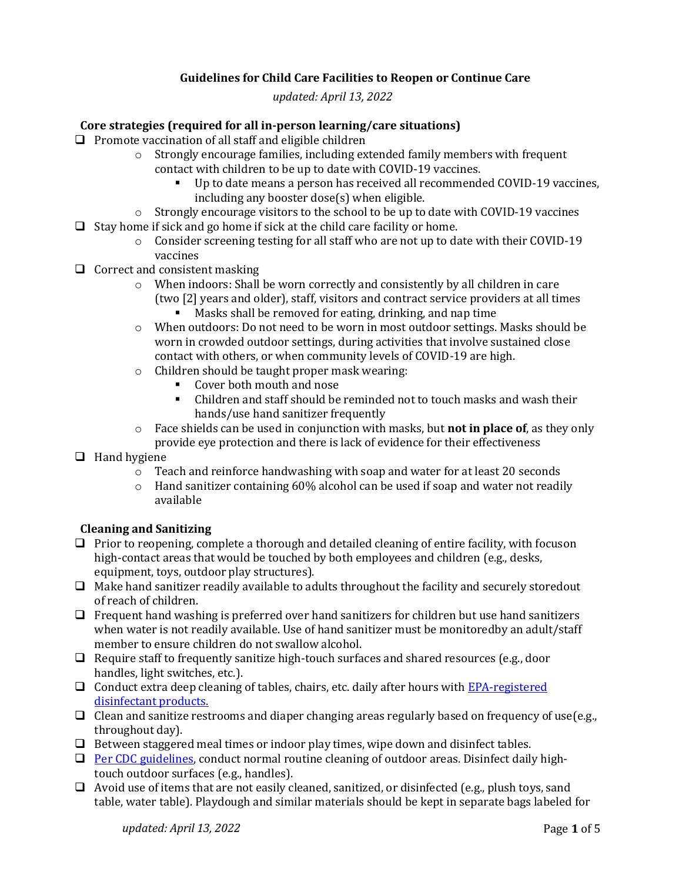# **Guidelines for Child Care Facilities to Reopen or Continue Care**

*updated: April 13, 2022*

# **Core strategies (required for all in-person learning/care situations)**

- $\Box$  Promote vaccination of all staff and eligible children
	- $\circ$  Strongly encourage families, including extended family members with frequent contact with children to be up to date with COVID-19 vaccines.
		- Up to date means a person has received all recommended COVID-19 vaccines, including any booster dose(s) when eligible.
	- $\circ$  Strongly encourage visitors to the school to be up to date with COVID-19 vaccines
- $\Box$  Stay home if sick and go home if sick at the child care facility or home.
	- $\circ$  Consider screening testing for all staff who are not up to date with their COVID-19 vaccines
- $\Box$  Correct and consistent masking
	- $\circ$  When indoors: Shall be worn correctly and consistently by all children in care (two [2] years and older), staff, visitors and contract service providers at all times Masks shall be removed for eating, drinking, and nap time
	- o When outdoors: Do not need to be worn in most outdoor settings. Masks should be worn in crowded outdoor settings, during activities that involve sustained close
		- contact with others, or when community levels of COVID-19 are high.
	- o Children should be taught proper mask wearing:
		- Cover both mouth and nose
		- Children and staff should be reminded not to touch masks and wash their hands/use hand sanitizer frequently
	- o Face shields can be used in conjunction with masks, but **not in place of**, as they only provide eye protection and there is lack of evidence for their effectiveness
- $\Box$  Hand hygiene
	- o Teach and reinforce handwashing with soap and water for at least 20 seconds
	- $\circ$  Hand sanitizer containing 60% alcohol can be used if soap and water not readily available

#### **Cleaning and Sanitizing**

- $\Box$  Prior to reopening, complete a thorough and detailed cleaning of entire facility, with focuson high-contact areas that would be touched by both employees and children (e.g., desks, equipment, toys, outdoor play structures).
- $\Box$  Make hand sanitizer readily available to adults throughout the facility and securely storedout of reach of children.
- $\Box$  Frequent hand washing is preferred over hand sanitizers for children but use hand sanitizers when water is not readily available. Use of hand sanitizer must be monitoredby an adult/staff member to ensure children do not swallow alcohol.
- $\Box$  Require staff to frequently sanitize high-touch surfaces and shared resources (e.g., door handles, light switches, etc.).
- $\Box$  Conduct extra deep cleaning of tables, chairs, etc. daily after hours with [EPA-registered](https://www.epa.gov/pesticide-registration/list-n-disinfectants-use-against-sars-cov-2) [disinfectant](https://www.epa.gov/pesticide-registration/list-n-disinfectants-use-against-sars-cov-2) products.
- $\Box$  Clean and sanitize restrooms and diaper changing areas regularly based on frequency of use(e.g., throughout day).
- $\Box$  Between staggered meal times or indoor play times, wipe down and disinfect tables.
- $\Box$  [Per CDC guidelines, c](https://www.cdc.gov/coronavirus/2019-ncov/community/disinfecting-building-facility.html)onduct normal routine cleaning of outdoor areas. Disinfect daily hightouch outdoor surfaces (e.g., handles).
- $\Box$  Avoid use of items that are not easily cleaned, sanitized, or disinfected (e.g., plush toys, sand table, water table). Playdough and similar materials should be kept in separate bags labeled for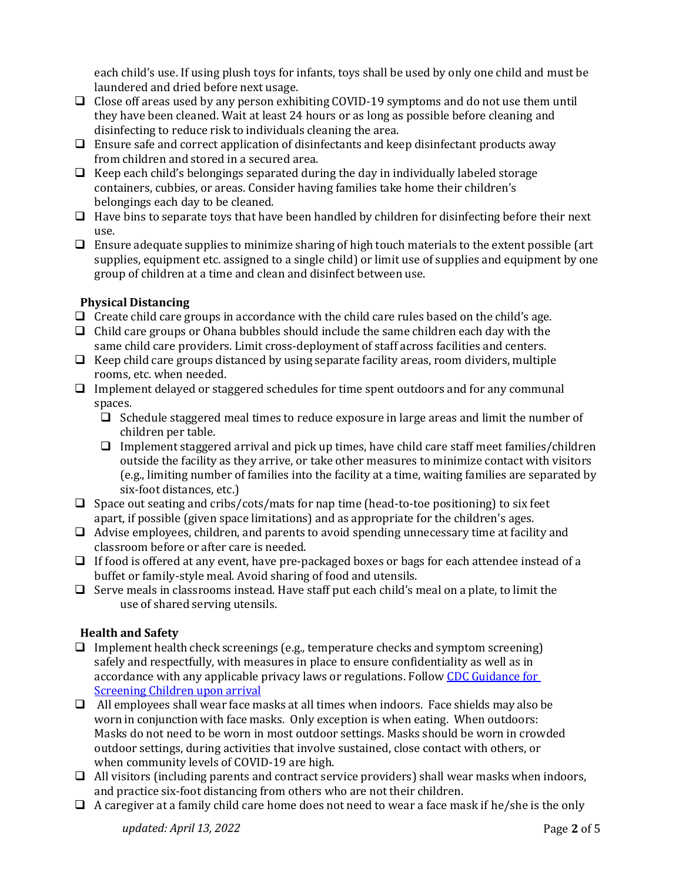each child's use. If using plush toys for infants, toys shall be used by only one child and must be laundered and dried before next usage.

- $\Box$  Close off areas used by any person exhibiting COVID-19 symptoms and do not use them until they have been cleaned. Wait at least 24 hours or as long as possible before cleaning and disinfecting to reduce risk to individuals cleaning the area.
- $\Box$  Ensure safe and correct application of disinfectants and keep disinfectant products away from children and stored in a secured area.
- $\Box$  Keep each child's belongings separated during the day in individually labeled storage containers, cubbies, or areas. Consider having families take home their children's belongings each day to be cleaned.
- $\Box$  Have bins to separate toys that have been handled by children for disinfecting before their next use.
- $\Box$  Ensure adequate supplies to minimize sharing of high touch materials to the extent possible (art supplies, equipment etc. assigned to a single child) or limit use of supplies and equipment by one group of children at a time and clean and disinfect between use.

# **Physical Distancing**

- $\Box$  Create child care groups in accordance with the child care rules based on the child's age.
- $\Box$  Child care groups or Ohana bubbles should include the same children each day with the same child care providers. Limit cross-deployment of staff across facilities and centers.
- $\Box$  Keep child care groups distanced by using separate facility areas, room dividers, multiple rooms, etc. when needed.
- $\Box$  Implement delayed or staggered schedules for time spent outdoors and for any communal spaces.
	- $\Box$  Schedule staggered meal times to reduce exposure in large areas and limit the number of children per table.
	- **I** Implement staggered arrival and pick up times, have child care staff meet families/children outside the facility as they arrive, or take other measures to minimize contact with visitors (e.g., limiting number of families into the facility at a time, waiting families are separated by six-foot distances, etc.)
- $\Box$  Space out seating and cribs/cots/mats for nap time (head-to-toe positioning) to six feet apart, if possible (given space limitations) and as appropriate for the children's ages.
- $\Box$  Advise employees, children, and parents to avoid spending unnecessary time at facility and classroom before or after care is needed.
- $\Box$  If food is offered at any event, have pre-packaged boxes or bags for each attendee instead of a buffet or family-style meal. Avoid sharing of food and utensils.
- $\Box$  Serve meals in classrooms instead. Have staff put each child's meal on a plate, to limit the use of shared serving utensils.

# **Health and Safety**

- $\Box$  Implement health check screenings (e.g., temperature checks and symptom screening) safely and respectfully, with measures in place to ensure confidentiality as well as in accordance with any applicable privacy laws or regulations. Follow [CDC Guidance for](https://www.cdc.gov/coronavirus/2019-ncov/community/schools-childcare/child-care-guidance.html)  [Screening Children upon arrival](https://www.cdc.gov/coronavirus/2019-ncov/community/schools-childcare/child-care-guidance.html)
- $\Box$  All employees shall wear face masks at all times when indoors. Face shields may also be worn in conjunction with face masks. Only exception is when eating. When outdoors: Masks do not need to be worn in most outdoor settings. Masks should be worn in crowded outdoor settings, during activities that involve sustained, close contact with others, or when community levels of COVID-19 are high.
- $\Box$  All visitors (including parents and contract service providers) shall wear masks when indoors, and practice six-foot distancing from others who are not their children.
- $\Box$  A caregiver at a family child care home does not need to wear a face mask if he/she is the only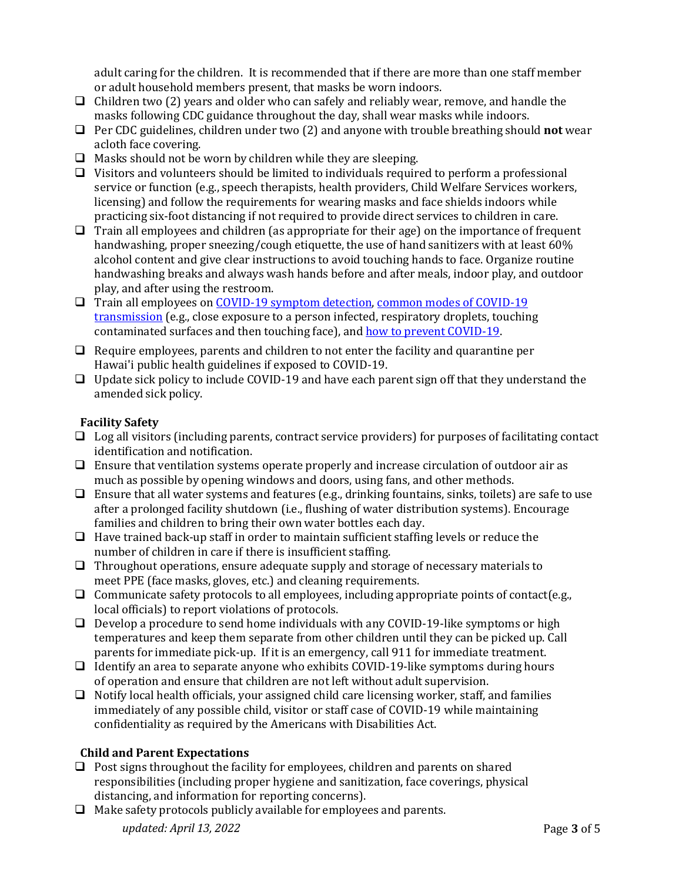adult caring for the children. It is recommended that if there are more than one staff member or adult household members present, that masks be worn indoors.

- $\Box$  Children two (2) years and older who can safely and reliably wear, remove, and handle the masks following CDC guidance throughout the day, shall wear masks while indoors.
- Per CDC guidelines, children under two (2) and anyone with trouble breathing should **not** wear acloth face covering.
- $\Box$  Masks should not be worn by children while they are sleeping.
- $\Box$  Visitors and volunteers should be limited to individuals required to perform a professional service or function (e.g., speech therapists, health providers, Child Welfare Services workers, licensing) and follow the requirements for wearing masks and face shields indoors while practicing six-foot distancing if not required to provide direct services to children in care.
- $\Box$  Train all employees and children (as appropriate for their age) on the importance of frequent handwashing, proper sneezing/cough etiquette, the use of hand sanitizers with at least 60% alcohol content and give clear instructions to avoid touching hands to face. Organize routine handwashing breaks and always wash hands before and after meals, indoor play, and outdoor play, and after using the restroom.
- Train all employees on [COVID-19 symptom detection,](https://www.cdc.gov/coronavirus/2019-ncov/symptoms-testing/symptoms.html) [common modes of COVID-19](https://www.cdc.gov/coronavirus/2019-ncov/prevent-getting-sick/how-covid-spreads.html) [transmission](https://www.cdc.gov/coronavirus/2019-ncov/prevent-getting-sick/how-covid-spreads.html) (e.g., close exposure to a person infected, respiratory droplets, touching contaminated surfaces and then touching face), and how to prevent [COVID-19.](https://www.cdc.gov/coronavirus/2019-ncov/prevent-getting-sick/prevention.html)
- $\Box$  Require employees, parents and children to not enter the facility and quarantine per Hawai'i public health guidelines if exposed to COVID-19.
- $\Box$  Update sick policy to include COVID-19 and have each parent sign off that they understand the amended sick policy.

# **Facility Safety**

- $\Box$  Log all visitors (including parents, contract service providers) for purposes of facilitating contact identification and notification.
- $\Box$  Ensure that ventilation systems operate properly and increase circulation of outdoor air as much as possible by opening windows and doors, using fans, and other methods.
- $\Box$  Ensure that all water systems and features (e.g., drinking fountains, sinks, toilets) are safe to use after a prolonged facility shutdown (i.e., flushing of water distribution systems). Encourage families and children to bring their own water bottles each day.
- $\Box$  Have trained back-up staff in order to maintain sufficient staffing levels or reduce the number of children in care if there is insufficient staffing.
- $\Box$  Throughout operations, ensure adequate supply and storage of necessary materials to meet PPE (face masks, gloves, etc.) and cleaning requirements.
- $\Box$  Communicate safety protocols to all employees, including appropriate points of contact (e.g., local officials) to report violations of protocols.
- $\Box$  Develop a procedure to send home individuals with any COVID-19-like symptoms or high temperatures and keep them separate from other children until they can be picked up. Call parents for immediate pick-up. If it is an emergency, call 911 for immediate treatment.
- $\Box$  Identify an area to separate anyone who exhibits COVID-19-like symptoms during hours of operation and ensure that children are not left without adult supervision.
- $\Box$  Notify local health officials, your assigned child care licensing worker, staff, and families immediately of any possible child, visitor or staff case of COVID-19 while maintaining confidentiality as required by the Americans with Disabilities Act.

# **Child and Parent Expectations**

- $\Box$  Post signs throughout the facility for employees, children and parents on shared responsibilities (including proper hygiene and sanitization, face coverings, physical distancing, and information for reporting concerns).
- *updated: April 13, 2022* Page **3** of 5  $\Box$  Make safety protocols publicly available for employees and parents.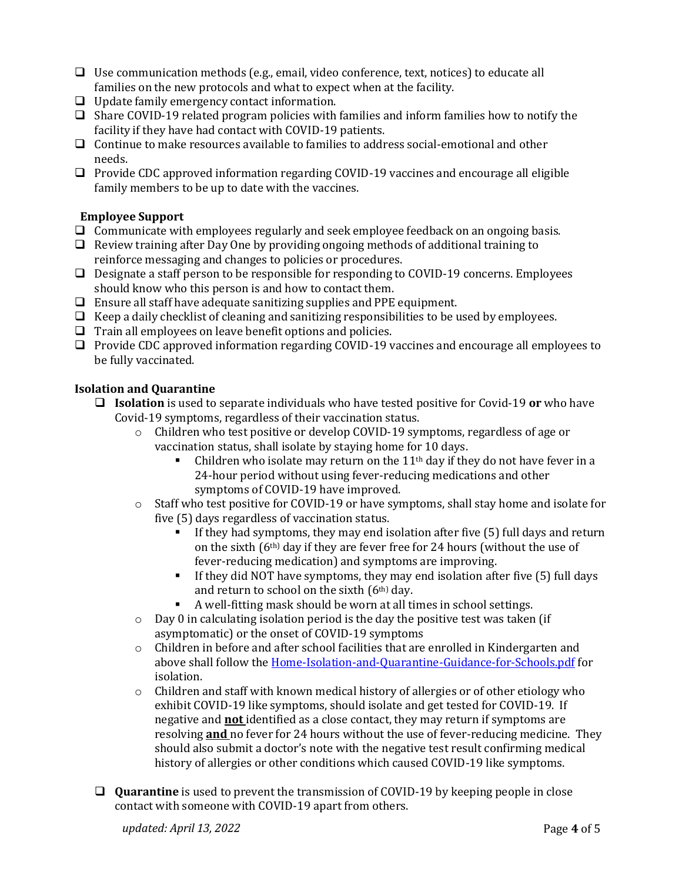- $\Box$  Use communication methods (e.g., email, video conference, text, notices) to educate all families on the new protocols and what to expect when at the facility.
- $\Box$  Update family emergency contact information.
- $\Box$  Share COVID-19 related program policies with families and inform families how to notify the facility if they have had contact with COVID-19 patients.
- $\Box$  Continue to make resources available to families to address social-emotional and other needs.
- Provide CDC approved information regarding COVID-19 vaccines and encourage all eligible family members to be up to date with the vaccines.

### **Employee Support**

- $\Box$  Communicate with employees regularly and seek employee feedback on an ongoing basis.
- $\Box$  Review training after Day One by providing ongoing methods of additional training to reinforce messaging and changes to policies or procedures.
- $\Box$  Designate a staff person to be responsible for responding to COVID-19 concerns. Employees should know who this person is and how to contact them.
- $\Box$  Ensure all staff have adequate sanitizing supplies and PPE equipment.
- $\Box$  Keep a daily checklist of cleaning and sanitizing responsibilities to be used by employees.
- $\Box$  Train all employees on leave benefit options and policies.
- $\Box$  Provide CDC approved information regarding COVID-19 vaccines and encourage all employees to be fully vaccinated.

#### **Isolation and Quarantine**

- **Isolation** is used to separate individuals who have tested positive for Covid-19 **or** who have Covid-19 symptoms, regardless of their vaccination status.
	- o Children who test positive or develop COVID-19 symptoms, regardless of age or vaccination status, shall isolate by staying home for 10 days.
		- Children who isolate may return on the  $11<sup>th</sup>$  day if they do not have fever in a 24-hour period without using fever-reducing medications and other symptoms of COVID-19 have improved.
	- $\circ$  Staff who test positive for COVID-19 or have symptoms, shall stay home and isolate for five (5) days regardless of vaccination status.
		- If they had symptoms, they may end isolation after five (5) full days and return on the sixth (6th) day if they are fever free for 24 hours (without the use of fever-reducing medication) and symptoms are improving.
		- If they did NOT have symptoms, they may end isolation after five (5) full days and return to school on the sixth (6th) day.
		- A well-fitting mask should be worn at all times in school settings.
	- o Day 0 in calculating isolation period is the day the positive test was taken (if asymptomatic) or the onset of COVID-19 symptoms
	- o Children in before and after school facilities that are enrolled in Kindergarten and above shall follow the [Home-Isolation-and-Quarantine-Guidance-for-Schools.pdf](https://health.hawaii.gov/coronavirusdisease2019/files/2022/01/Home-Isolation-and-Quarantine-Guidance-for-Schools.pdf) for isolation.
	- $\circ$  Children and staff with known medical history of allergies or of other etiology who exhibit COVID-19 like symptoms, should isolate and get tested for COVID-19. If negative and **not** identified as a close contact, they may return if symptoms are resolving **and** no fever for 24 hours without the use of fever-reducing medicine. They should also submit a doctor's note with the negative test result confirming medical history of allergies or other conditions which caused COVID-19 like symptoms.
- **Quarantine** is used to prevent the transmission of COVID-19 by keeping people in close contact with someone with COVID-19 apart from others.